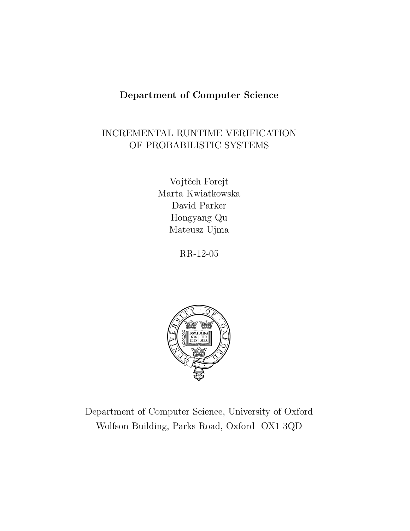## Department of Computer Science

# INCREMENTAL RUNTIME VERIFICATION OF PROBABILISTIC SYSTEMS

Vojtěch Forejt Marta Kwiatkowska David Parker Hongyang Qu Mateusz Ujma

RR-12-05



Department of Computer Science, University of Oxford Wolfson Building, Parks Road, Oxford OX1 3QD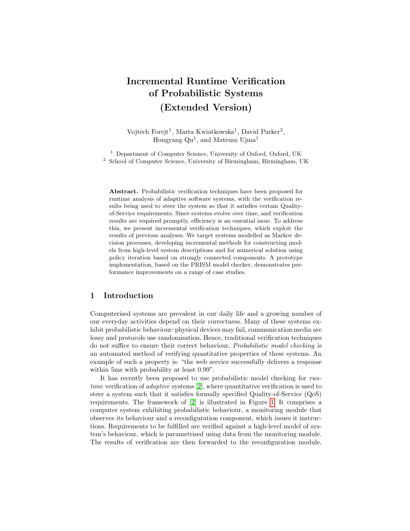# Incremental Runtime Verification of Probabilistic Systems (Extended Version)

Vojtěch Forejt<sup>1</sup>, Marta Kwiatkowska<sup>1</sup>, David Parker<sup>2</sup>, Hongyang Qu<sup>1</sup>, and Mateusz Ujma<sup>1</sup>

<sup>1</sup> Department of Computer Science, University of Oxford, Oxford, UK <sup>2</sup> School of Computer Science, University of Birmingham, Birmingham, UK

Abstract. Probabilistic verification techniques have been proposed for runtime analysis of adaptive software systems, with the verification results being used to steer the system so that it satisfies certain Qualityof-Service requirements. Since systems evolve over time, and verification results are required promptly, efficiency is an essential issue. To address this, we present incremental verification techniques, which exploit the results of previous analyses. We target systems modelled as Markov decision processes, developing incremental methods for constructing models from high-level system descriptions and for numerical solution using policy iteration based on strongly connected components. A prototype implementation, based on the PRISM model checker, demonstrates performance improvements on a range of case studies.

## 1 Introduction

Computerised systems are prevalent in our daily life and a growing number of our everyday activities depend on their correctness. Many of these systems exhibit probabilistic behaviour: physical devices may fail, communication media are lossy and protocols use randomisation. Hence, traditional verification techniques do not suffice to ensure their correct behaviour. Probabilistic model checking is an automated method of verifying quantitative properties of these systems. An example of such a property is: "the web service successfully delivers a response within 5ms with probability at least 0.99".

It has recently been proposed to use probabilistic model checking for runtime verification of adaptive systems [\[2\]](#page-13-0), where quantitative verification is used to steer a system such that it satisfies formally specified Quality-of-Service (QoS) requirements. The framework of [\[2\]](#page-13-0) is illustrated in Figure [1.](#page-2-0) It comprises a computer system exhibiting probabilistic behaviour, a monitoring module that observes its behaviour and a reconfiguration component, which issues it instructions. Requirements to be fulfilled are verified against a high-level model of system's behaviour, which is parametrised using data from the monitoring module. The results of verification are then forwarded to the reconfiguration module,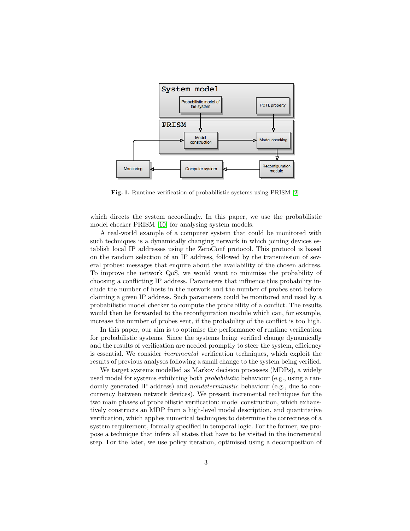

<span id="page-2-0"></span>Fig. 1. Runtime verification of probabilistic systems using PRISM [\[2\]](#page-13-0).

which directs the system accordingly. In this paper, we use the probabilistic model checker PRISM [\[10\]](#page-14-0) for analysing system models.

A real-world example of a computer system that could be monitored with such techniques is a dynamically changing network in which joining devices establish local IP addresses using the ZeroConf protocol. This protocol is based on the random selection of an IP address, followed by the transmission of several probes: messages that enquire about the availability of the chosen address. To improve the network QoS, we would want to minimise the probability of choosing a conflicting IP address. Parameters that influence this probability include the number of hosts in the network and the number of probes sent before claiming a given IP address. Such parameters could be monitored and used by a probabilistic model checker to compute the probability of a conflict. The results would then be forwarded to the reconfiguration module which can, for example, increase the number of probes sent, if the probability of the conflict is too high.

In this paper, our aim is to optimise the performance of runtime verification for probabilistic systems. Since the systems being verified change dynamically and the results of verification are needed promptly to steer the system, efficiency is essential. We consider incremental verification techniques, which exploit the results of previous analyses following a small change to the system being verified.

We target systems modelled as Markov decision processes (MDPs), a widely used model for systems exhibiting both *probabilistic* behaviour (e.g., using a randomly generated IP address) and *nondeterministic* behaviour (e.g., due to concurrency between network devices). We present incremental techniques for the two main phases of probabilistic verification: model construction, which exhaustively constructs an MDP from a high-level model description, and quantitative verification, which applies numerical techniques to determine the correctness of a system requirement, formally specified in temporal logic. For the former, we propose a technique that infers all states that have to be visited in the incremental step. For the later, we use policy iteration, optimised using a decomposition of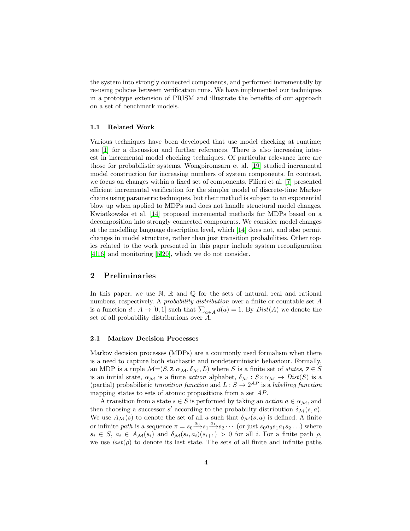the system into strongly connected components, and performed incrementally by re-using policies between verification runs. We have implemented our techniques in a prototype extension of PRISM and illustrate the benefits of our approach on a set of benchmark models.

#### 1.1 Related Work

Various techniques have been developed that use model checking at runtime; see [\[1\]](#page-13-1) for a discussion and further references. There is also increasing interest in incremental model checking techniques. Of particular relevance here are those for probabilistic systems. Wongpiromsarn et al. [\[19\]](#page-14-1) studied incremental model construction for increasing numbers of system components. In contrast, we focus on changes within a fixed set of components. Filieri et al. [\[7\]](#page-14-2) presented efficient incremental verification for the simpler model of discrete-time Markov chains using parametric techniques, but their method is subject to an exponential blow up when applied to MDPs and does not handle structural model changes. Kwiatkowska et al. [\[14\]](#page-14-3) proposed incremental methods for MDPs based on a decomposition into strongly connected components. We consider model changes at the modelling language description level, which [\[14\]](#page-14-3) does not, and also permit changes in model structure, rather than just transition probabilities. Other topics related to the work presented in this paper include system reconfiguration [\[4,](#page-13-2)[16\]](#page-14-4) and monitoring [\[5](#page-13-3)[,20\]](#page-14-5), which we do not consider.

## 2 Preliminaries

In this paper, we use  $\mathbb{N}, \mathbb{R}$  and  $\mathbb{Q}$  for the sets of natural, real and rational numbers, respectively. A *probability distribution* over a finite or countable set A is a function  $d: A \to [0,1]$  such that  $\sum_{a \in A} d(a) = 1$ . By  $Dist(A)$  we denote the set of all probability distributions over A

## 2.1 Markov Decision Processes

Markov decision processes (MDPs) are a commonly used formalism when there is a need to capture both stochastic and nondeterministic behaviour. Formally, an MDP is a tuple  $\mathcal{M}=(S,\overline{s},\alpha_{\mathcal{M}},\delta_{\mathcal{M}},L)$  where S is a finite set of states,  $\overline{s} \in S$ is an initial state,  $\alpha_{\mathcal{M}}$  is a finite *action* alphabet,  $\delta_{\mathcal{M}} : S \times \alpha_{\mathcal{M}} \to Dist(S)$  is a (partial) probabilistic transition function and  $L : S \to 2^{AP}$  is a labelling function mapping states to sets of atomic propositions from a set AP.

A transition from a state  $s \in S$  is performed by taking an *action*  $a \in \alpha_{\mathcal{M}}$ , and then choosing a successor s' according to the probability distribution  $\delta_{\mathcal{M}}(s, a)$ . We use  $A_{\mathcal{M}}(s)$  to denote the set of all a such that  $\delta_{\mathcal{M}}(s, a)$  is defined. A finite or infinite path is a sequence  $\pi = s_0 \xrightarrow{a_0} s_1 \xrightarrow{a_1} s_2 \cdots$  (or just  $s_0 a_0 s_1 a_1 s_2 \ldots$ ) where  $s_i \in S$ ,  $a_i \in A_{\mathcal{M}}(s_i)$  and  $\delta_{\mathcal{M}}(s_i, a_i)(s_{i+1}) > 0$  for all i. For a finite path  $\rho$ , we use  $last(\rho)$  to denote its last state. The sets of all finite and infinite paths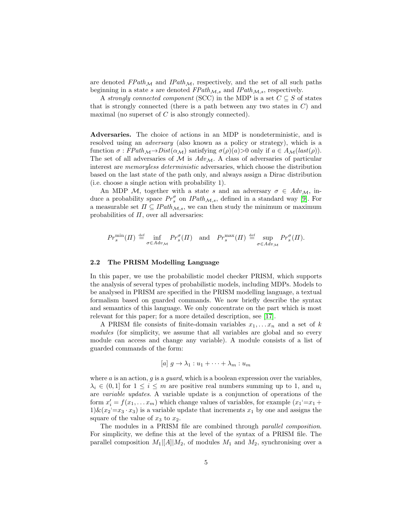are denoted  $FPath_{\mathcal{M}}$  and  $IPath_{\mathcal{M}}$ , respectively, and the set of all such paths beginning in a state s are denoted  $FPath_{\mathcal{M},s}$  and  $IPath_{\mathcal{M},s}$ , respectively.

A strongly connected component (SCC) in the MDP is a set  $C \subseteq S$  of states that is strongly connected (there is a path between any two states in  $C$ ) and maximal (no superset of  $C$  is also strongly connected).

Adversaries. The choice of actions in an MDP is nondeterministic, and is resolved using an *adversary* (also known as a policy or strategy), which is a function  $\sigma$ :  $FPath_{\mathcal{M}} \to Dist(\alpha_{\mathcal{M}})$  satisfying  $\sigma(\rho)(a) > 0$  only if  $a \in A_{\mathcal{M}}(last(\rho)).$ The set of all adversaries of  $\mathcal M$  is  $Adv_{\mathcal M}$ . A class of adversaries of particular interest are memoryless deterministic adversaries, which choose the distribution based on the last state of the path only, and always assign a Dirac distribution (i.e. choose a single action with probability 1).

An MDP M, together with a state s and an adversary  $\sigma \in Adv_{\mathcal{M}}$ , induce a probability space  $Pr_s^{\sigma}$  on  $IPath_{\mathcal{M},s}$ , defined in a standard way [\[9\]](#page-14-6). For a measurable set  $\Pi \subseteq \text{IPath}_{\mathcal{M},s}$ , we can then study the minimum or maximum probabilities of  $\Pi$ , over all adversaries:

$$
Pr_s^{\min}(II) \stackrel{\text{def}}{=} \inf_{\sigma \in Adv_{\mathcal{M}}} Pr_s^{\sigma}(II) \quad \text{and} \quad Pr_s^{\max}(II) \stackrel{\text{def}}{=} \sup_{\sigma \in Adv_{\mathcal{M}}} Pr_s^{\sigma}(II).
$$

#### 2.2 The PRISM Modelling Language

In this paper, we use the probabilistic model checker PRISM, which supports the analysis of several types of probabilistic models, including MDPs. Models to be analysed in PRISM are specified in the PRISM modelling language, a textual formalism based on guarded commands. We now briefly describe the syntax and semantics of this language. We only concentrate on the part which is most relevant for this paper; for a more detailed description, see [\[17\]](#page-14-7).

A PRISM file consists of finite-domain variables  $x_1, \ldots x_n$  and a set of k modules (for simplicity, we assume that all variables are global and so every module can access and change any variable). A module consists of a list of guarded commands of the form:

$$
[a] g \to \lambda_1 : u_1 + \cdots + \lambda_m : u_m
$$

where  $a$  is an action,  $g$  is a *guard*, which is a boolean expression over the variables,  $\lambda_i \in (0,1]$  for  $1 \leq i \leq m$  are positive real numbers summing up to 1, and  $u_i$ are variable updates. A variable update is a conjunction of operations of the form  $x'_i = f(x_1, \ldots, x_m)$  which change values of variables, for example  $(x_1 = x_1 +$  $1)$   $\&$   $(x_2 = x_3 \cdot x_3)$  is a variable update that increments  $x_1$  by one and assigns the square of the value of  $x_3$  to  $x_2$ .

The modules in a PRISM file are combined through parallel composition. For simplicity, we define this at the level of the syntax of a PRISM file. The parallel composition  $M_1[[A]]M_2$ , of modules  $M_1$  and  $M_2$ , synchronising over a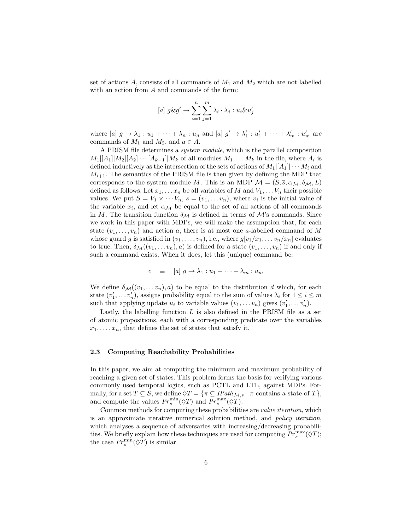set of actions A, consists of all commands of  $M_1$  and  $M_2$  which are not labelled with an action from A and commands of the form:

$$
[a] g\&g' \rightarrow \sum_{i=1}^{n} \sum_{j=1}^{m} \lambda_i \cdot \lambda_j : u_i \& u'_j
$$

where  $[a]$   $g \to \lambda_1 : u_1 + \cdots + \lambda_n : u_n$  and  $[a]$   $g' \to \lambda'_1 : u'_1 + \cdots + \lambda'_m : u'_m$  are commands of  $M_1$  and  $M_2$ , and  $a \in A$ .

A PRISM file determines a system module, which is the parallel composition  $M_1|[A_1]|M_2|[A_2]\cdots[A_{k-1}]|M_k$  of all modules  $M_1,\ldots M_k$  in the file, where  $A_i$  is defined inductively as the intersection of the sets of actions of  $M_1|[A_1]| \cdots M_i$  and  $M_{i+1}$ . The semantics of the PRISM file is then given by defining the MDP that corresponds to the system module M. This is an MDP  $\mathcal{M} = (S, \overline{s}, \alpha_{\mathcal{M}}, \delta_{\mathcal{M}}, L)$ defined as follows. Let  $x_1, \ldots x_n$  be all variables of M and  $V_1, \ldots V_n$  their possible values. We put  $S = V_1 \times \cdots V_n$ ,  $\overline{s} = (\overline{v}_1, \ldots \overline{v}_n)$ , where  $\overline{v}_i$  is the initial value of the variable  $x_i$ , and let  $\alpha_{\mathcal{M}}$  be equal to the set of all actions of all commands in M. The transition function  $\delta_{\mathcal{M}}$  is defined in terms of  $\mathcal{M}$ 's commands. Since we work in this paper with MDPs, we will make the assumption that, for each state  $(v_1, \ldots, v_n)$  and action a, there is at most one a-labelled command of M whose guard g is satisfied in  $(v_1, \ldots, v_n)$ , i.e., where  $g[v_1/x_1, \ldots v_n/x_n]$  evaluates to true. Then,  $\delta_{\mathcal{M}}((v_1, \ldots v_n), a)$  is defined for a state  $(v_1, \ldots, v_n)$  if and only if such a command exists. When it does, let this (unique) command be:

$$
c \equiv [a] g \to \lambda_1 : u_1 + \cdots + \lambda_m : u_m
$$

We define  $\delta_{\mathcal{M}}((v_1, \ldots v_n), a)$  to be equal to the distribution d which, for each state  $(v'_1, \ldots v'_n)$ , assigns probability equal to the sum of values  $\lambda_i$  for  $1 \leq i \leq m$ such that applying update  $u_i$  to variable values  $(v_1, \ldots v_n)$  gives  $(v'_1, \ldots v'_n)$ .

Lastly, the labelling function  $L$  is also defined in the PRISM file as a set of atomic propositions, each with a corresponding predicate over the variables  $x_1, \ldots, x_n$ , that defines the set of states that satisfy it.

#### 2.3 Computing Reachability Probabilities

In this paper, we aim at computing the minimum and maximum probability of reaching a given set of states. This problem forms the basis for verifying various commonly used temporal logics, such as PCTL and LTL, against MDPs. Formally, for a set  $T \subseteq S$ , we define  $\Diamond T = \{ \pi \subseteq \text{IPath}_{\mathcal{M},s} \mid \pi \text{ contains a state of } T \}$ , and compute the values  $Pr_s^{\min}(\lozenge T)$  and  $Pr_s^{\max}(\lozenge T)$ .

Common methods for computing these probabilities are value iteration, which is an approximate iterative numerical solution method, and policy iteration, which analyses a sequence of adversaries with increasing/decreasing probabilities. We briefly explain how these techniques are used for computing  $Pr_s^{\max}(\Diamond T)$ ; the case  $Pr_s^{\min}(\lozenge T)$  is similar.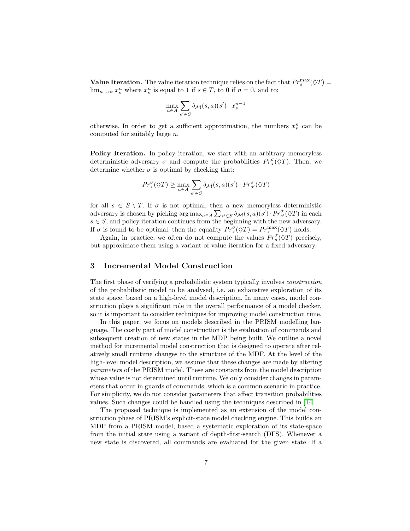**Value Iteration.** The value iteration technique relies on the fact that  $Pr_s^{\max}(\Diamond T)$  =  $\lim_{n\to\infty} x_s^n$  where  $x_s^n$  is equal to 1 if  $s \in T$ , to 0 if  $n = 0$ , and to:

$$
\max_{a \in A} \sum_{s' \in S} \delta_{\mathcal{M}}(s, a)(s') \cdot x_s^{n-1}
$$

otherwise. In order to get a sufficient approximation, the numbers  $x_s^n$  can be computed for suitably large n.

Policy Iteration. In policy iteration, we start with an arbitrary memoryless deterministic adversary  $\sigma$  and compute the probabilities  $Pr_s^{\sigma}(\Diamond T)$ . Then, we determine whether  $\sigma$  is optimal by checking that:

$$
Pr_s^{\sigma}(\lozenge T) \ge \max_{a \in A} \sum_{s' \in S} \delta_{\mathcal{M}}(s, a)(s') \cdot Pr_{s'}^{\sigma}(\lozenge T)
$$

for all  $s \in S \setminus T$ . If  $\sigma$  is not optimal, then a new memoryless deterministic adversary is chosen by picking  $\arg \max_{a \in A} \sum_{s' \in S} \delta_{\mathcal{M}}(s, a)(s') \cdot Pr_{s'}^{\sigma}(\Diamond T)$  in each  $s \in S$ , and policy iteration continues from the beginning with the new adversary. If  $\sigma$  is found to be optimal, then the equality  $Pr_s^{\sigma}(\Diamond T) = Pr_s^{\max}(\Diamond T)$  holds.

Again, in practice, we often do not compute the values  $Pr_s^{\sigma}(\lozenge T)$  precisely, but approximate them using a variant of value iteration for a fixed adversary.

## 3 Incremental Model Construction

The first phase of verifying a probabilistic system typically involves construction of the probabilistic model to be analysed, i.e. an exhaustive exploration of its state space, based on a high-level model description. In many cases, model construction plays a significant role in the overall performance of a model checker, so it is important to consider techniques for improving model construction time.

In this paper, we focus on models described in the PRISM modelling language. The costly part of model construction is the evaluation of commands and subsequent creation of new states in the MDP being built. We outline a novel method for incremental model construction that is designed to operate after relatively small runtime changes to the structure of the MDP. At the level of the high-level model description, we assume that these changes are made by altering parameters of the PRISM model. These are constants from the model description whose value is not determined until runtime. We only consider changes in parameters that occur in guards of commands, which is a common scenario in practice. For simplicity, we do not consider parameters that affect transition probabilities values. Such changes could be handled using the techniques described in [\[14\]](#page-14-3).

The proposed technique is implemented as an extension of the model construction phase of PRISM's explicit-state model checking engine. This builds an MDP from a PRISM model, based a systematic exploration of its state-space from the initial state using a variant of depth-first-search (DFS). Whenever a new state is discovered, all commands are evaluated for the given state. If a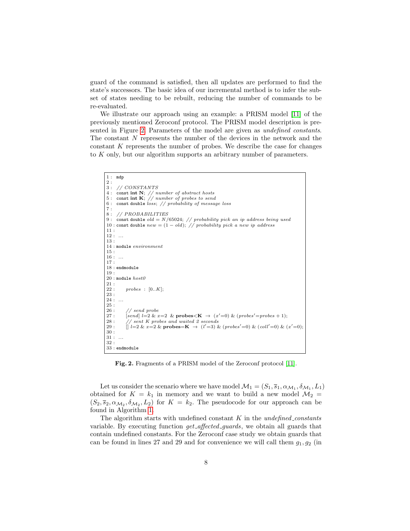guard of the command is satisfied, then all updates are performed to find the state's successors. The basic idea of our incremental method is to infer the subset of states needing to be rebuilt, reducing the number of commands to be re-evaluated.

We illustrate our approach using an example: a PRISM model [\[11\]](#page-14-8) of the previously mentioned Zeroconf protocol. The PRISM model description is presented in Figure [2.](#page-7-0) Parameters of the model are given as undefined constants. The constant N represents the number of the devices in the network and the constant K represents the number of probes. We describe the case for changes to K only, but our algorithm supports an arbitrary number of parameters.

```
1 : mdp
{\bf 2} :
3 : // CONSTANTS
4: const int N; // number of abstract hosts<br>5: const int K; // number of probes to send
6 : const double loss; // probability of message loss
7 :
8 : // PROBABILITIES
9 : const double old = N/65024; // probability pick an ip address being used
10 : const double new = (1 - old); // probability pick a new ip address11 :
12: ...13 :
14 : module environment
15 :
16: ...
17 :
18 : endmodule
19 :
20: module host021 :
22: probes: [0..K];23 :
24: ...25 :
26 : // send probe<br>27 · [send] l=2 \; \& \; \tau27 : [send] l=2 \& x=2 \& probes\lt K \to (x'=0) \& (probes' = probes + 1);28 : \frac{1}{2} sent K probes and waited 2 seconds<br>29 · \left[1\right] = 2 \& x = 2 \& probes=K \rightarrow \left[1' = 3\right] \&29 : [|l=2 \& x=2 \& probes=K \rightarrow (l'=3) \& (probes'=0) \& (coll'=0) \& (x'=0);30\, :
31:.
32 :
33 : endmodule
```
<span id="page-7-0"></span>Fig. 2. Fragments of a PRISM model of the Zeroconf protocol [\[11\]](#page-14-8).

Let us consider the scenario where we have model  $\mathcal{M}_1 = (S_1, \overline{s}_1, \alpha_{\mathcal{M}_1}, \delta_{\mathcal{M}_1}, L_1)$ obtained for  $K = k_1$  in memory and we want to build a new model  $\mathcal{M}_2$  $(S_2, \overline{s}_2, \alpha_{\mathcal{M}_2}, \delta_{\mathcal{M}_2}, L_2)$  for  $K = k_2$ . The pseudocode for our approach can be found in Algorithm [1.](#page-9-0)

The algorithm starts with undefined constant  $K$  in the *undefined constants* variable. By executing function get affected guards, we obtain all guards that contain undefined constants. For the Zeroconf case study we obtain guards that can be found in lines 27 and 29 and for convenience we will call them  $g_1, g_2$  (in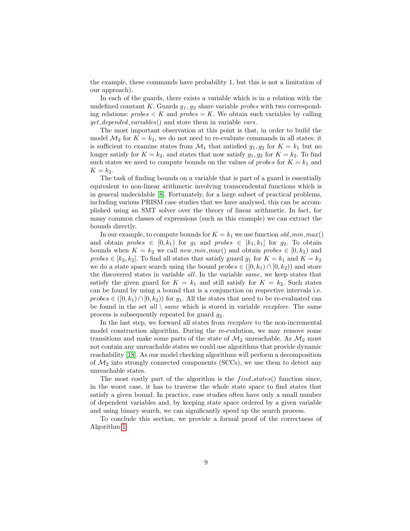the example, these commands have probability 1, but this is not a limitation of our approach).

In each of the guards, there exists a variable which is in a relation with the undefined constant K. Guards  $g_1, g_2$  share variable *probes* with two corresponding relations:  $probes < K$  and  $probes = K$ . We obtain such variables by calling get depended variables() and store them in variable vars.

The most important observation at this point is that, in order to build the model  $\mathcal{M}_2$  for  $K = k_2$ , we do not need to re-evaluate commands in all states: it is sufficient to examine states from  $\mathcal{M}_1$  that satisfied  $g_1, g_2$  for  $K = k_1$  but no longer satisfy for  $K = k_2$ , and states that now satisfy  $g_1, g_2$  for  $K = k_2$ . To find such states we need to compute bounds on the values of *probes* for  $K = k_1$  and  $K = k_2$ .

The task of finding bounds on a variable that is part of a guard is essentially equivalent to non-linear arithmetic involving transcendental functions which is in general undecidable [\[8\]](#page-14-9). Fortunately, for a large subset of practical problems, including various PRISM case studies that we have analysed, this can be accomplished using an SMT solver over the theory of linear arithmetic. In fact, for many common classes of expressions (such as this example) we can extract the bounds directly.

In our example, to compute bounds for  $K = k_1$  we use function  $old\_min\_max()$ and obtain probes  $\in [0, k_1)$  for  $g_1$  and probes  $\in [k_1, k_1]$  for  $g_2$ . To obtain bounds when  $K = k_2$  we call new min max() and obtain probes  $\in [0, k_2)$  and probes  $\in [k_2, k_2]$ . To find all states that satisfy guard  $g_1$  for  $K = k_1$  and  $K = k_2$ we do a state space search using the bound  $probes \in ([0, k_1) \cap [0, k_2))$  and store the discovered states in variable all. In the variable same, we keep states that satisfy the given guard for  $K = k_1$  and still satisfy for  $K = k_2$ . Such states can be found by using a bound that is a conjunction on respective intervals i.e.  $probes \in ([0, k_1) \cap [0, k_2))$  for  $g_1$ . All the states that need to be re-evaluated can be found in the set all  $\setminus$  same which is stored in variable reexplore. The same process is subsequently repeated for guard  $q_2$ .

In the last step, we forward all states from reexplore to the non-incremental model construction algorithm. During the re-evalution, we may remove some transitions and make some parts of the state of  $\mathcal{M}_2$  unreachable. As  $\mathcal{M}_2$  must not contain any unreachable states we could use algorithms that provide dynamic reachability [\[18\]](#page-14-10). As our model checking algorithms will perform a decomposition of  $\mathcal{M}_2$  into strongly connected components (SCCs), we use them to detect any unreachable states.

The most costly part of the algorithm is the  $find\_states()$  function since, in the worst case, it has to traverse the whole state space to find states that satisfy a given bound. In practice, case studies often have only a small number of dependent variables and, by keeping state space ordered by a given variable and using binary search, we can significantly speed up the search process.

To conclude this section, we provide a formal proof of the correctness of Algorithm [1.](#page-9-0)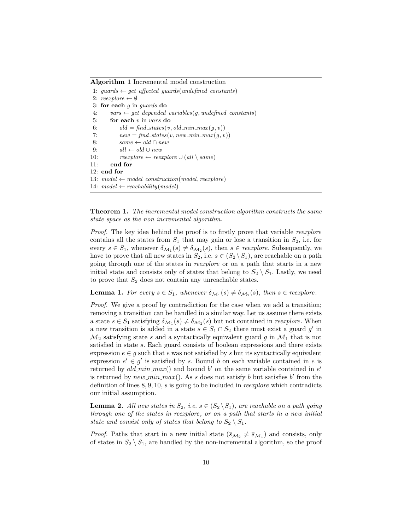Algorithm 1 Incremental model construction

```
1: guards \leftarrow get_affected_guards(undefined_constants)
 2: recr\rightharpoonup \emptyset3: for each q in quards do
 4: vars \leftarrow get_depended_variables(g, undefined_constants)
 5: for each v in vars do
 6: old = find\_states(v, old\_min\_max(q, v))7: new = find\_states(v, new\_min\_max(g, v))8: same \leftarrow old \cap new9: all \leftarrow old \cup new10: reexplore \leftarrow reexplore \cup (all \setminus same)11: end for
12: end for
13: model \leftarrow model_{constraint}(model, reexplore)14: model \leftarrow reachability(model)
```
**Theorem 1.** The incremental model construction algorithm constructs the same state space as the non incremental algorithm.

Proof. The key idea behind the proof is to firstly prove that variable reexplore contains all the states from  $S_1$  that may gain or lose a transition in  $S_2$ , i.e. for every  $s \in S_1$ , whenever  $\delta_{\mathcal{M}_1}(s) \neq \delta_{\mathcal{M}_2}(s)$ , then  $s \in \text{recr, Subsequently, we}$ have to prove that all new states in  $S_2$ , i.e.  $s \in (S_2 \setminus S_1)$ , are reachable on a path going through one of the states in reexplore or on a path that starts in a new initial state and consists only of states that belong to  $S_2 \setminus S_1$ . Lastly, we need to prove that  $S_2$  does not contain any unreachable states.

<span id="page-9-1"></span>**Lemma 1.** For every  $s \in S_1$ , whenever  $\delta_{\mathcal{M}_1}(s) \neq \delta_{\mathcal{M}_2}(s)$ , then  $s \in \text{recphere}$ .

Proof. We give a proof by contradiction for the case when we add a transition; removing a transition can be handled in a similar way. Let us assume there exists a state  $s \in S_1$  satisfying  $\delta_{\mathcal{M}_1}(s) \neq \delta_{\mathcal{M}_2}(s)$  but not contained in *reexplore*. When a new transition is added in a state  $s \in S_1 \cap S_2$  there must exist a guard  $g'$  in  $\mathcal{M}_2$  satisfying state s and a syntactically equivalent guard g in  $\mathcal{M}_1$  that is not satisfied in state s. Each guard consists of boolean expressions and there exists expression  $e \in g$  such that e was not satisfied by s but its syntactically equivalent expression  $e' \in g'$  is satisfied by s. Bound b on each variable contained in e is returned by  $old\_min\_max()$  and bound b' on the same variable contained in  $e'$ is returned by  $new\_min\_max()$ . As s does not satisfy b but satisfies b' from the definition of lines 8, 9, 10, s is going to be included in reexplore which contradicts our initial assumption.

**Lemma 2.** All new states in  $S_2$ , i.e.  $s \in (S_2 \backslash S_1)$ , are reachable on a path going through one of the states in reexplore, or on a path that starts in a new initial state and consist only of states that belong to  $S_2 \setminus S_1$ .

*Proof.* Paths that start in a new initial state  $(\bar{s}_{M_2} \neq \bar{s}_{M_1})$  and consists, only of states in  $S_2 \setminus S_1$ , are handled by the non-incremental algorithm, so the proof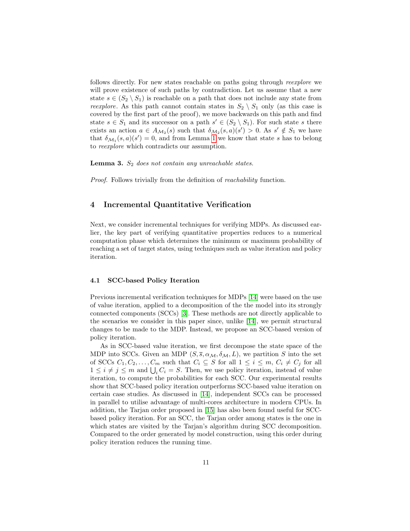follows directly. For new states reachable on paths going through reexplore we will prove existence of such paths by contradiction. Let us assume that a new state  $s \in (S_2 \setminus S_1)$  is reachable on a path that does not include any state from reexplore. As this path cannot contain states in  $S_2 \setminus S_1$  only (as this case is covered by the first part of the proof), we move backwards on this path and find state  $s \in S_1$  and its successor on a path  $s' \in (S_2 \setminus S_1)$ . For such state s there exists an action  $a \in A_{\mathcal{M}_2}(s)$  such that  $\delta_{\mathcal{M}_2}(s, a)(s') > 0$ . As  $s' \notin S_1$  we have that  $\delta_{\mathcal{M}_1}(s, a)(s') = 0$ , and from Lemma [1](#page-9-1) we know that state s has to belong to reexplore which contradicts our assumption.

**Lemma 3.**  $S_2$  does not contain any unreachable states.

Proof. Follows trivially from the definition of reachability function.

## 4 Incremental Quantitative Verification

Next, we consider incremental techniques for verifying MDPs. As discussed earlier, the key part of verifying quantitative properties reduces to a numerical computation phase which determines the minimum or maximum probability of reaching a set of target states, using techniques such as value iteration and policy iteration.

#### 4.1 SCC-based Policy Iteration

Previous incremental verification techniques for MDPs [\[14\]](#page-14-3) were based on the use of value iteration, applied to a decomposition of the the model into its strongly connected components (SCCs) [\[3\]](#page-13-4). These methods are not directly applicable to the scenarios we consider in this paper since, unlike [\[14\]](#page-14-3), we permit structural changes to be made to the MDP. Instead, we propose an SCC-based version of policy iteration.

As in SCC-based value iteration, we first decompose the state space of the MDP into SCCs. Given an MDP  $(S, \overline{s}, \alpha_{\mathcal{M}}, \delta_{\mathcal{M}}, L)$ , we partition S into the set of SCCs  $C_1, C_2, \ldots, C_m$  such that  $C_i \subseteq S$  for all  $1 \leq i \leq m, C_i \neq C_j$  for all  $1 \leq i \neq j \leq m$  and  $\bigcup_i C_i = S$ . Then, we use policy iteration, instead of value iteration, to compute the probabilities for each SCC. Our experimental results show that SCC-based policy iteration outperforms SCC-based value iteration on certain case studies. As discussed in [\[14\]](#page-14-3), independent SCCs can be processed in parallel to utilise advantage of multi-cores architecture in modern CPUs. In addition, the Tarjan order proposed in [\[15\]](#page-14-11) has also been found useful for SCCbased policy iteration. For an SCC, the Tarjan order among states is the one in which states are visited by the Tarjan's algorithm during SCC decomposition. Compared to the order generated by model construction, using this order during policy iteration reduces the running time.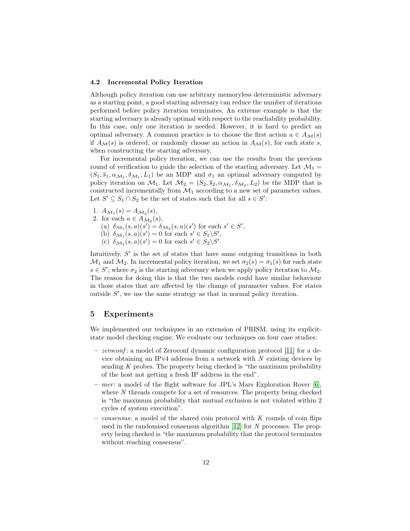#### 4.2 Incremental Policy Iteration

Although policy iteration can use arbitrary memoryless deterministic adversary as a starting point, a good starting adversary can reduce the number of iterations performed before policy iteration terminates. An extreme example is that the starting adversary is already optimal with respect to the reachability probability. In this case, only one iteration is needed. However, it is hard to predict an optimal adversary. A common practice is to choose the first action  $a \in A_{\mathcal{M}}(s)$ if  $A_{\mathcal{M}}(s)$  is ordered, or randomly choose an action in  $A_{\mathcal{M}}(s)$ , for each state s, when constructing the starting adversary.

For incremental policy iteration, we can use the results from the previous round of verification to guide the selection of the starting adversary. Let  $\mathcal{M}_1 =$  $(S_1, \overline{s}_1, \alpha_{\mathcal{M}_1}, \delta_{\mathcal{M}_1}, L_1)$  be an MDP and  $\sigma_1$  an optimal adversary computed by policy iteration on  $\mathcal{M}_1$ . Let  $\mathcal{M}_2 = (S_2, \overline{s}_2, \alpha_{\mathcal{M}_1}, \delta_{\mathcal{M}_2}, L_2)$  be the MDP that is constructed incrementally from  $\mathcal{M}_1$  according to a new set of parameter values. Let  $S' \subseteq S_1 \cap S_2$  be the set of states such that for all  $s \in S'$ :

- 1.  $A_{\mathcal{M}_1}(s) = A_{\mathcal{M}_2}(s),$ 2. for each  $a \in A_{\mathcal{M}_2}(s)$ ,
	- (a)  $\delta_{\mathcal{M}_1}(s, a)(s') = \delta_{\mathcal{M}_2}(s, a)(s')$  for each  $s' \in S'$ ,
	- (b)  $\delta_{\mathcal{M}_1}(s, a)(s') = 0$  for each  $s' \in S_1 \backslash S'$ ,
	- (c)  $\delta_{\mathcal{M}_2}(s, a)(s') = 0$  for each  $s' \in S_2 \backslash S'$ .

Intuitively,  $S'$  is the set of states that have same outgoing transitions in both  $\mathcal{M}_1$  and  $\mathcal{M}_2$ . In incremental policy iteration, we set  $\sigma_2(s) = \sigma_1(s)$  for each state  $s \in S'$ , where  $\sigma_2$  is the starting adversary when we apply policy iteration to  $\mathcal{M}_2$ . The reason for doing this is that the two models could have similar behaviour in those states that are affected by the change of parameter values. For states outside  $S'$ , we use the same strategy as that in normal policy iteration.

## 5 Experiments

We implemented our techniques in an extension of PRISM, using its explicitstate model checking engine. We evaluate our techniques on four case studies:

- zeroconf : a model of Zeroconf dynamic configuration protocol [\[11\]](#page-14-8) for a device obtaining an IPv4 address from a network with  $N$  existing devices by sending  $K$  probes. The property being checked is "the maximum probability" of the host not getting a fresh IP address in the end".
- mer: a model of the flight software for JPL's Mars Exploration Rover [\[6\]](#page-13-5), where N threads compete for a set of resources. The property being checked is "the maximum probability that mutual exclusion is not violated within 2 cycles of system execution".
- consensus: a model of the shared coin protocol with K rounds of coin flips used in the randomised consensus algorithm  $[12]$  for N processes. The property being checked is "the maximum probability that the protocol terminates without reaching consensus".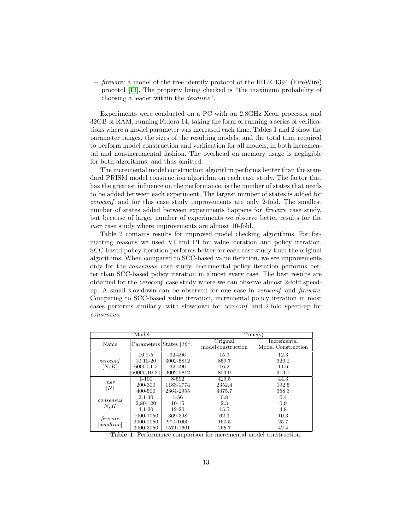$-$  firewire: a model of the tree identify protocol of the IEEE 1394 (FireWire) procotol [\[13\]](#page-14-13). The property being checked is "the maximum probability of choosing a leader within the deadline".

Experiments were conducted on a PC with an 2.8GHz Xeon processor and 32GB of RAM, running Fedora 14, taking the form of running a series of verifications where a model parameter was increased each time. Tables 1 and 2 show the parameter ranges, the sizes of the resulting models, and the total time required to perform model construction and verification for all models, in both incremental and non-incremental fashion. The overhead on memory usage is negligible for both algorithms, and thus omitted.

The incremental model construction algorithm performs better than the standard PRISM model construction algorithm on each case study. The factor that has the greatest influence on the performance, is the number of states that needs to be added between each experiment. The largest number of states is added for zeroconf and for this case study improvements are only 2-fold. The smallest number of states added between experiments happens for firewire case study, but because of larger number of experiments we observe better results for the mer case study where improvements are almost 10-fold.

Table 2 contains results for improved model checking algorithms. For formatting reasons we used VI and PI for value iteration and policy iteration. SCC-based policy iteration performs better for each case study than the original algorithms. When compared to SCC-based value iteration, we see improvements only for the consensus case study. Incremental policy iteration performs better than SCC-based policy iteration in almost every case. The best results are obtained for the zeroconf case study where we can observe almost 2-fold speedup. A small slowdown can be observed for one case in zeroconf and firewire. Comparing to SCC-based value iteration, incremental policy iteration in most cases performs similarly, with slowdown for zeroconf and 2-fold speed-up for consensus.

| Model                    |             |                 | Time(s)            |                    |  |  |
|--------------------------|-------------|-----------------|--------------------|--------------------|--|--|
| Name                     | Parameters  | States $[10^3]$ | Original           | Incremental        |  |  |
|                          |             |                 | model construction | Model Construction |  |  |
| zeroconf<br>[N, K]       | $10,1-5$    | 32-496          | 15.9               | 12.3               |  |  |
|                          | 10,10-20    | 3002-5812       | 859.7              | 320.2              |  |  |
|                          | 60000,1-5   | 32-496          | 16.2               | 11.6               |  |  |
|                          | 60000,10-20 | 3002-5812       | 853.9              | 313.7              |  |  |
| mer<br>$\lceil N \rceil$ | $1 - 100$   | 8-592           | 429.5              | 44.3               |  |  |
|                          | 200-300     | 1183-1774       | 2352.4             | 192.5              |  |  |
|                          | 400-500     | 2364-2955       | 4375.7             | 358.3              |  |  |
| consensus<br>[N, K]      | $2,1-40$    | $1 - 56$        | 0.8                | 0.4                |  |  |
|                          | 2,80-120    | $10 - 15$       | 2.3                | 0.9                |  |  |
|                          | $4,1-20$    | $12 - 20$       | 15.5               | 4.8                |  |  |
| firewire<br>[deadline]   | 1000-1050   | 369-398         | 62.3               | 10.3               |  |  |
|                          | 2000-2050   | 970-1000        | 160.5              | 25.7               |  |  |
|                          | 3000-3050   | 1571-1601       | 265.7              | 42.4               |  |  |

Table 1. Performance comparison for incremental model construction.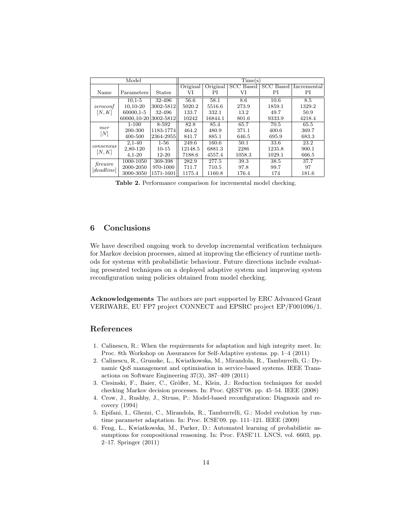| Model                  |             |               | Time(s)  |          |              |              |             |  |
|------------------------|-------------|---------------|----------|----------|--------------|--------------|-------------|--|
|                        |             |               | Original | Original | SCC<br>Based | SCC<br>Based | Incremental |  |
| Name                   | Parameters  | <b>States</b> | VI       | РI       | VI           | РI           | РI          |  |
| zeroconf<br>[N,K]      | $10.1 - 5$  | 32-496        | 56.6     | 58.1     | 8.6          | 10.6         | 8.5         |  |
|                        | 10,10-20    | 3002-5812     | 5020.2   | 5516.6   | 273.9        | 1859.1       | 1329.2      |  |
|                        | 60000,1-5   | 32-496        | 133.7    | 332.1    | 13.2         | 49.7         | 50.9        |  |
|                        | 60000,10-20 | 3002-5812     | 10242    | 16844.1  | 801.6        | 9333.9       | 4218.4      |  |
| mer<br>[N]             | $1 - 100$   | 8-592         | 82.8     | 85.4     | 65.7         | 70.5         | 65.5        |  |
|                        | 200-300     | 1183-1774     | 464.2    | 480.9    | 371.1        | 400.6        | 369.7       |  |
|                        | 400-500     | 2364-2955     | 841.7    | 885.1    | 646.5        | 695.9        | 683.3       |  |
| consensus<br>[N, K]    | $2,1-40$    | $1 - 56$      | 249.6    | 160.6    | 50.1         | 33.6         | 23.2        |  |
|                        | 2,80-120    | $10 - 15$     | 12148.5  | 6881.3   | 2286         | 1235.8       | 900.1       |  |
|                        | $4,1-20$    | $12 - 20$     | 7188.6   | 4557.4   | 1058.3       | 1029.1       | 666.5       |  |
| firewire<br>[deadline] | 1000-1050   | 369-398       | 282.9    | 277.5    | 39.3         | 38.5         | 37.7        |  |
|                        | 2000-2050   | 970-1000      | 711.7    | 710.5    | 97.8         | 99.7         | 97          |  |
|                        | 3000-3050   | 1571-1601     | 1175.4   | 1160.8   | 176.4        | 174          | 181.6       |  |

Table 2. Performance comparison for incremental model checking.

## 6 Conclusions

We have described ongoing work to develop incremental verification techniques for Markov decision processes, aimed at improving the efficiency of runtime methods for systems with probabilistic behaviour. Future directions include evaluating presented techniques on a deployed adaptive system and improving system reconfiguration using policies obtained from model checking.

Acknowledgements The authors are part supported by ERC Advanced Grant VERIWARE, EU FP7 project CONNECT and EPSRC project EP/F001096/1.

## References

- <span id="page-13-1"></span>1. Calinescu, R.: When the requirements for adaptation and high integrity meet. In: Proc. 8th Workshop on Assurances for Self-Adaptive systems. pp. 1–4 (2011)
- <span id="page-13-0"></span>2. Calinescu, R., Grunske, L., Kwiatkowska, M., Mirandola, R., Tamburrelli, G.: Dynamic QoS management and optimisation in service-based systems. IEEE Transactions on Software Engineering 37(3), 387–409 (2011)
- <span id="page-13-4"></span>3. Ciesinski, F., Baier, C., Größer, M., Klein, J.: Reduction techniques for model checking Markov decision processes. In: Proc. QEST'08. pp. 45–54. IEEE (2008)
- <span id="page-13-2"></span>4. Crow, J., Rushby, J., Struss, P.: Model-based reconfiguration: Diagnosis and recovery (1994)
- <span id="page-13-3"></span>5. Epifani, I., Ghezzi, C., Mirandola, R., Tamburrelli, G.: Model evolution by runtime parameter adaptation. In: Proc. ICSE'09. pp. 111–121. IEEE (2009)
- <span id="page-13-5"></span>6. Feng, L., Kwiatkowska, M., Parker, D.: Automated learning of probabilistic assumptions for compositional reasoning. In: Proc. FASE'11. LNCS, vol. 6603, pp. 2–17. Springer (2011)